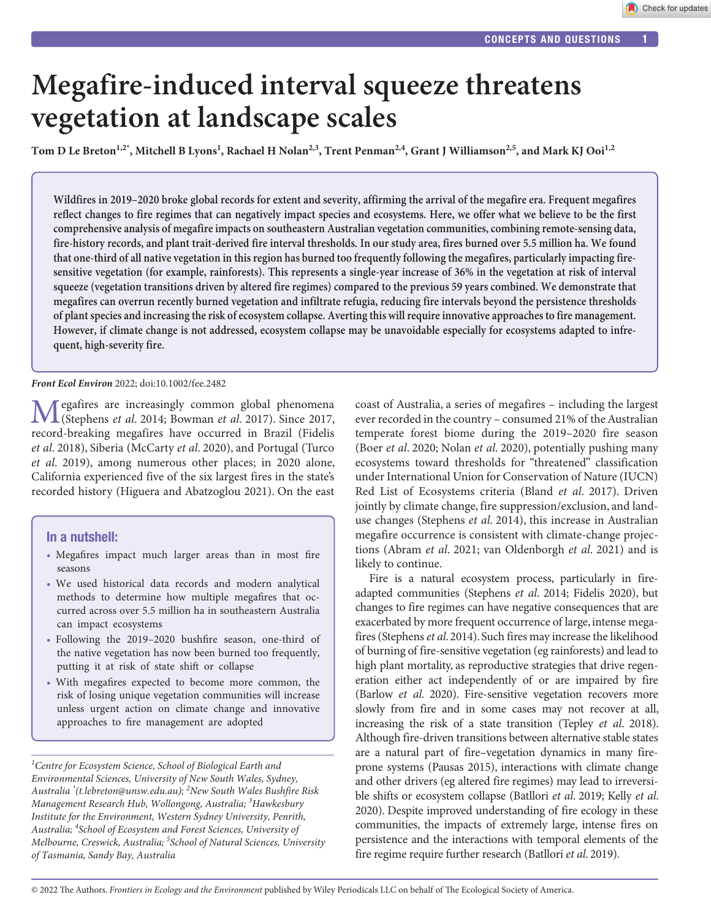Check for updates

# **Megafire-induced interval squeeze threatens vegetation at landscape scales**

Tom D Le Breton<sup>1,2\*</sup>, Mitchell B Lyons<sup>1</sup>, Rachael H Nolan<sup>2,3</sup>, Trent Penman<sup>2,4</sup>, Grant J Williamson<sup>2,5</sup>, and Mark KJ Ooi<sup>1,2</sup>

**Wildfires in 2019–2020 broke global records for extent and severity, affirming the arrival of the megafire era. Frequent megafires reflect changes to fire regimes that can negatively impact species and ecosystems. Here, we offer what we believe to be the first comprehensive analysis of megafire impacts on southeastern Australian vegetation communities, combining remote-sensing data, fire-history records, and plant trait-derived fire interval thresholds. In our study area, fires burned over 5.5 million ha. We found that one-third of all native vegetation in this region has burned too frequently following the megafires, particularly impacting firesensitive vegetation (for example, rainforests). This represents a single-year increase of 36% in the vegetation at risk of interval squeeze (vegetation transitions driven by altered fire regimes) compared to the previous 59 years combined. We demonstrate that megafires can overrun recently burned vegetation and infiltrate refugia, reducing fire intervals beyond the persistence thresholds of plant species and increasing the risk of ecosystem collapse. Averting this will require innovative approaches to fire management. However, if climate change is not addressed, ecosystem collapse may be unavoidable especially for ecosystems adapted to infrequent, high-severity fire.**

#### *Front Ecol Environ* 2022; doi:10.1002/fee.2482

Megafires are increasingly common global phenomena (Stephens *et al*. 2014; Bowman *et al*. 2017). Since 2017, record-breaking megafires have occurred in Brazil (Fidelis *et al*. 2018), Siberia (McCarty *et al*. 2020), and Portugal (Turco *et al*. 2019), among numerous other places; in 2020 alone, California experienced five of the six largest fires in the state's recorded history (Higuera and Abatzoglou 2021). On the east

## In a nutshell:

- Megafires impact much larger areas than in most fire seasons
- We used historical data records and modern analytical methods to determine how multiple megafires that occurred across over 5.5 million ha in southeastern Australia can impact ecosystems
- Following the 2019–2020 bushfire season, one-third of the native vegetation has now been burned too frequently, putting it at risk of state shift or collapse
- With megafires expected to become more common, the risk of losing unique vegetation communities will increase unless urgent action on climate change and innovative approaches to fire management are adopted

*1 Centre for Ecosystem Science, School of Biological Earth and Environmental Sciences, University of New South Wales, Sydney, Australia \* (t.lebreton@unsw.edu.au); <sup>2</sup> New South Wales Bushfire Risk Management Research Hub, Wollongong, Australia; <sup>3</sup> Hawkesbury Institute for the Environment, Western Sydney University, Penrith, Australia; <sup>4</sup> School of Ecosystem and Forest Sciences, University of Melbourne, Creswick, Australia; <sup>5</sup> School of Natural Sciences, University of Tasmania, Sandy Bay, Australia*

coast of Australia, a series of megafires – including the largest ever recorded in the country – consumed 21% of the Australian temperate forest biome during the 2019–2020 fire season (Boer *et al*. 2020; Nolan *et al*. 2020), potentially pushing many ecosystems toward thresholds for "threatened" classification under International Union for Conservation of Nature (IUCN) Red List of Ecosystems criteria (Bland *et al*. 2017). Driven jointly by climate change, fire suppression/exclusion, and landuse changes (Stephens *et al*. 2014), this increase in Australian megafire occurrence is consistent with climate-change projections (Abram *et al*. 2021; van Oldenborgh *et al*. 2021) and is likely to continue.

Fire is a natural ecosystem process, particularly in fireadapted communities (Stephens *et al*. 2014; Fidelis 2020), but changes to fire regimes can have negative consequences that are exacerbated by more frequent occurrence of large, intense megafires (Stephens *et al*. 2014). Such fires may increase the likelihood of burning of fire-sensitive vegetation (eg rainforests) and lead to high plant mortality, as reproductive strategies that drive regeneration either act independently of or are impaired by fire (Barlow *et al*. 2020). Fire-sensitive vegetation recovers more slowly from fire and in some cases may not recover at all, increasing the risk of a state transition (Tepley *et al*. 2018). Although fire-driven transitions between alternative stable states are a natural part of fire–vegetation dynamics in many fireprone systems (Pausas 2015), interactions with climate change and other drivers (eg altered fire regimes) may lead to irreversible shifts or ecosystem collapse (Batllori *et al*. 2019; Kelly *et al*. 2020). Despite improved understanding of fire ecology in these communities, the impacts of extremely large, intense fires on persistence and the interactions with temporal elements of the fire regime require further research (Batllori *et al*. 2019).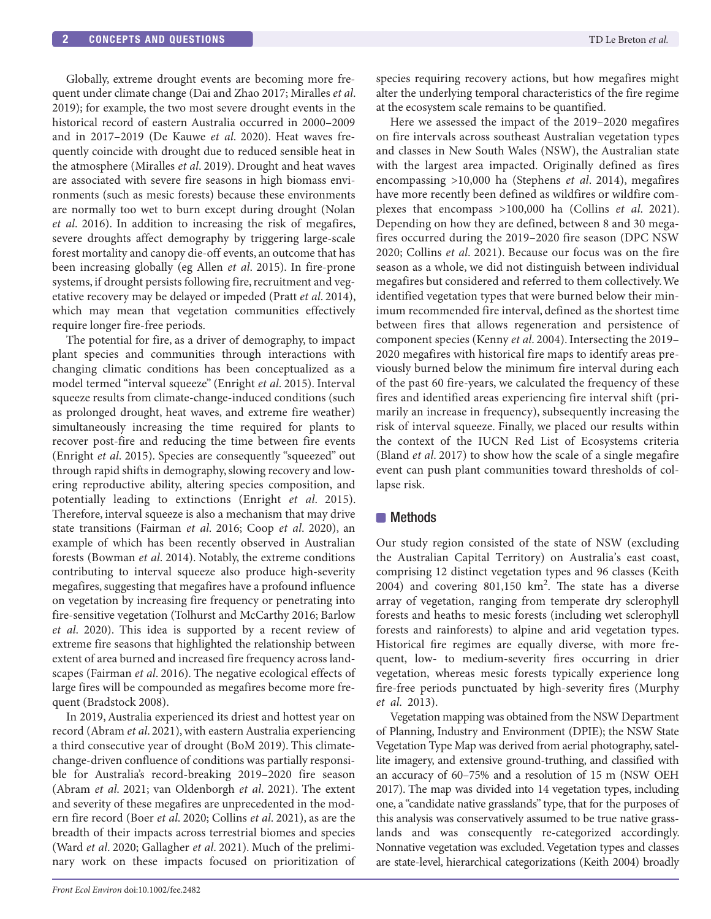Globally, extreme drought events are becoming more frequent under climate change (Dai and Zhao 2017; Miralles *et al*. 2019); for example, the two most severe drought events in the historical record of eastern Australia occurred in 2000–2009 and in 2017–2019 (De Kauwe *et al*. 2020). Heat waves frequently coincide with drought due to reduced sensible heat in the atmosphere (Miralles *et al*. 2019). Drought and heat waves are associated with severe fire seasons in high biomass environments (such as mesic forests) because these environments are normally too wet to burn except during drought (Nolan *et al*. 2016). In addition to increasing the risk of megafires, severe droughts affect demography by triggering large-scale forest mortality and canopy die-off events, an outcome that has been increasing globally (eg Allen *et al*. 2015). In fire-prone systems, if drought persists following fire, recruitment and vegetative recovery may be delayed or impeded (Pratt *et al*. 2014), which may mean that vegetation communities effectively require longer fire-free periods.

The potential for fire, as a driver of demography, to impact plant species and communities through interactions with changing climatic conditions has been conceptualized as a model termed "interval squeeze" (Enright *et al*. 2015). Interval squeeze results from climate-change-induced conditions (such as prolonged drought, heat waves, and extreme fire weather) simultaneously increasing the time required for plants to recover post-fire and reducing the time between fire events (Enright *et al*. 2015). Species are consequently "squeezed" out through rapid shifts in demography, slowing recovery and lowering reproductive ability, altering species composition, and potentially leading to extinctions (Enright *et al*. 2015). Therefore, interval squeeze is also a mechanism that may drive state transitions (Fairman *et al*. 2016; Coop *et al*. 2020), an example of which has been recently observed in Australian forests (Bowman *et al*. 2014). Notably, the extreme conditions contributing to interval squeeze also produce high-severity megafires, suggesting that megafires have a profound influence on vegetation by increasing fire frequency or penetrating into fire-sensitive vegetation (Tolhurst and McCarthy 2016; Barlow *et al*. 2020). This idea is supported by a recent review of extreme fire seasons that highlighted the relationship between extent of area burned and increased fire frequency across landscapes (Fairman *et al*. 2016). The negative ecological effects of large fires will be compounded as megafires become more frequent (Bradstock 2008).

In 2019, Australia experienced its driest and hottest year on record (Abram *et al*. 2021), with eastern Australia experiencing a third consecutive year of drought (BoM 2019). This climatechange-driven confluence of conditions was partially responsible for Australia's record-breaking 2019–2020 fire season (Abram *et al*. 2021; van Oldenborgh *et al*. 2021). The extent and severity of these megafires are unprecedented in the modern fire record (Boer *et al*. 2020; Collins *et al*. 2021), as are the breadth of their impacts across terrestrial biomes and species (Ward *et al*. 2020; Gallagher *et al*. 2021). Much of the preliminary work on these impacts focused on prioritization of species requiring recovery actions, but how megafires might alter the underlying temporal characteristics of the fire regime at the ecosystem scale remains to be quantified.

Here we assessed the impact of the 2019–2020 megafires on fire intervals across southeast Australian vegetation types and classes in New South Wales (NSW), the Australian state with the largest area impacted. Originally defined as fires encompassing >10,000 ha (Stephens *et al*. 2014), megafires have more recently been defined as wildfires or wildfire complexes that encompass >100,000 ha (Collins *et al*. 2021). Depending on how they are defined, between 8 and 30 megafires occurred during the 2019–2020 fire season (DPC NSW 2020; Collins *et al*. 2021). Because our focus was on the fire season as a whole, we did not distinguish between individual megafires but considered and referred to them collectively. We identified vegetation types that were burned below their minimum recommended fire interval, defined as the shortest time between fires that allows regeneration and persistence of component species (Kenny *et al*. 2004). Intersecting the 2019– 2020 megafires with historical fire maps to identify areas previously burned below the minimum fire interval during each of the past 60 fire-years, we calculated the frequency of these fires and identified areas experiencing fire interval shift (primarily an increase in frequency), subsequently increasing the risk of interval squeeze. Finally, we placed our results within the context of the IUCN Red List of Ecosystems criteria (Bland *et al*. 2017) to show how the scale of a single megafire event can push plant communities toward thresholds of collapse risk.

## **Methods**

Our study region consisted of the state of NSW (excluding the Australian Capital Territory) on Australia's east coast, comprising 12 distinct vegetation types and 96 classes (Keith 2004) and covering  $801,150$  km<sup>2</sup>. The state has a diverse array of vegetation, ranging from temperate dry sclerophyll forests and heaths to mesic forests (including wet sclerophyll forests and rainforests) to alpine and arid vegetation types. Historical fire regimes are equally diverse, with more frequent, low- to medium-severity fires occurring in drier vegetation, whereas mesic forests typically experience long fire-free periods punctuated by high-severity fires (Murphy *et al*. 2013).

Vegetation mapping was obtained from the NSW Department of Planning, Industry and Environment (DPIE); the NSW State Vegetation Type Map was derived from aerial photography, satellite imagery, and extensive ground-truthing, and classified with an accuracy of 60–75% and a resolution of 15 m (NSW OEH 2017). The map was divided into 14 vegetation types, including one, a "candidate native grasslands" type, that for the purposes of this analysis was conservatively assumed to be true native grasslands and was consequently re-categorized accordingly. Nonnative vegetation was excluded. Vegetation types and classes are state-level, hierarchical categorizations (Keith 2004) broadly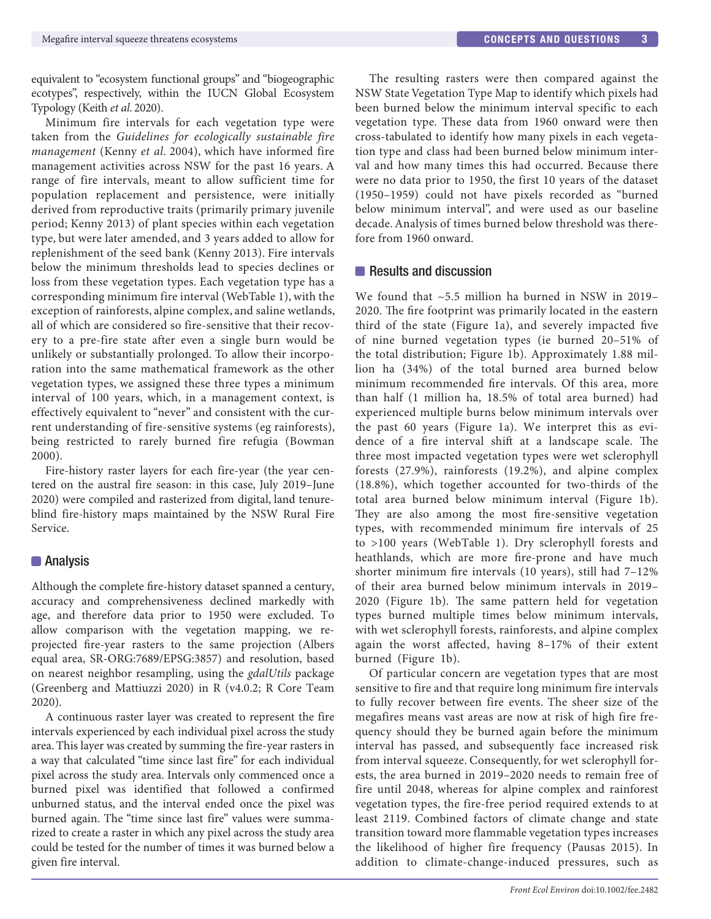equivalent to "ecosystem functional groups" and "biogeographic ecotypes", respectively, within the IUCN Global Ecosystem Typology (Keith *et al*. 2020).

Minimum fire intervals for each vegetation type were taken from the *Guidelines for ecologically sustainable fire management* (Kenny *et al*. 2004), which have informed fire management activities across NSW for the past 16 years. A range of fire intervals, meant to allow sufficient time for population replacement and persistence, were initially derived from reproductive traits (primarily primary juvenile period; Kenny 2013) of plant species within each vegetation type, but were later amended, and 3 years added to allow for replenishment of the seed bank (Kenny 2013). Fire intervals below the minimum thresholds lead to species declines or loss from these vegetation types. Each vegetation type has a corresponding minimum fire interval (WebTable 1), with the exception of rainforests, alpine complex, and saline wetlands, all of which are considered so fire-sensitive that their recovery to a pre-fire state after even a single burn would be unlikely or substantially prolonged. To allow their incorporation into the same mathematical framework as the other vegetation types, we assigned these three types a minimum interval of 100 years, which, in a management context, is effectively equivalent to "never" and consistent with the current understanding of fire-sensitive systems (eg rainforests), being restricted to rarely burned fire refugia (Bowman 2000).

Fire-history raster layers for each fire-year (the year centered on the austral fire season: in this case, July 2019–June 2020) were compiled and rasterized from digital, land tenureblind fire-history maps maintained by the NSW Rural Fire Service.

## **Analysis**

Although the complete fire-history dataset spanned a century, accuracy and comprehensiveness declined markedly with age, and therefore data prior to 1950 were excluded. To allow comparison with the vegetation mapping, we reprojected fire-year rasters to the same projection (Albers equal area, SR-ORG:7689/EPSG:3857) and resolution, based on nearest neighbor resampling, using the *gdalUtils* package (Greenberg and Mattiuzzi 2020) in R (v4.0.2; R Core Team 2020).

A continuous raster layer was created to represent the fire intervals experienced by each individual pixel across the study area. This layer was created by summing the fire-year rasters in a way that calculated "time since last fire" for each individual pixel across the study area. Intervals only commenced once a burned pixel was identified that followed a confirmed unburned status, and the interval ended once the pixel was burned again. The "time since last fire" values were summarized to create a raster in which any pixel across the study area could be tested for the number of times it was burned below a given fire interval.

The resulting rasters were then compared against the NSW State Vegetation Type Map to identify which pixels had been burned below the minimum interval specific to each vegetation type. These data from 1960 onward were then cross-tabulated to identify how many pixels in each vegetation type and class had been burned below minimum interval and how many times this had occurred. Because there were no data prior to 1950, the first 10 years of the dataset (1950–1959) could not have pixels recorded as "burned below minimum interval", and were used as our baseline decade. Analysis of times burned below threshold was therefore from 1960 onward.

## Results and discussion

We found that  $\sim$  5.5 million ha burned in NSW in 2019– 2020. The fire footprint was primarily located in the eastern third of the state (Figure 1a), and severely impacted five of nine burned vegetation types (ie burned 20–51% of the total distribution; Figure 1b). Approximately 1.88 million ha (34%) of the total burned area burned below minimum recommended fire intervals. Of this area, more than half (1 million ha, 18.5% of total area burned) had experienced multiple burns below minimum intervals over the past 60 years (Figure 1a). We interpret this as evidence of a fire interval shift at a landscape scale. The three most impacted vegetation types were wet sclerophyll forests (27.9%), rainforests (19.2%), and alpine complex (18.8%), which together accounted for two-thirds of the total area burned below minimum interval (Figure 1b). They are also among the most fire-sensitive vegetation types, with recommended minimum fire intervals of 25 to >100 years (WebTable 1). Dry sclerophyll forests and heathlands, which are more fire-prone and have much shorter minimum fire intervals (10 years), still had 7–12% of their area burned below minimum intervals in 2019– 2020 (Figure 1b). The same pattern held for vegetation types burned multiple times below minimum intervals, with wet sclerophyll forests, rainforests, and alpine complex again the worst affected, having 8–17% of their extent burned (Figure 1b).

Of particular concern are vegetation types that are most sensitive to fire and that require long minimum fire intervals to fully recover between fire events. The sheer size of the megafires means vast areas are now at risk of high fire frequency should they be burned again before the minimum interval has passed, and subsequently face increased risk from interval squeeze. Consequently, for wet sclerophyll forests, the area burned in 2019–2020 needs to remain free of fire until 2048, whereas for alpine complex and rainforest vegetation types, the fire-free period required extends to at least 2119. Combined factors of climate change and state transition toward more flammable vegetation types increases the likelihood of higher fire frequency (Pausas 2015). In addition to climate-change-induced pressures, such as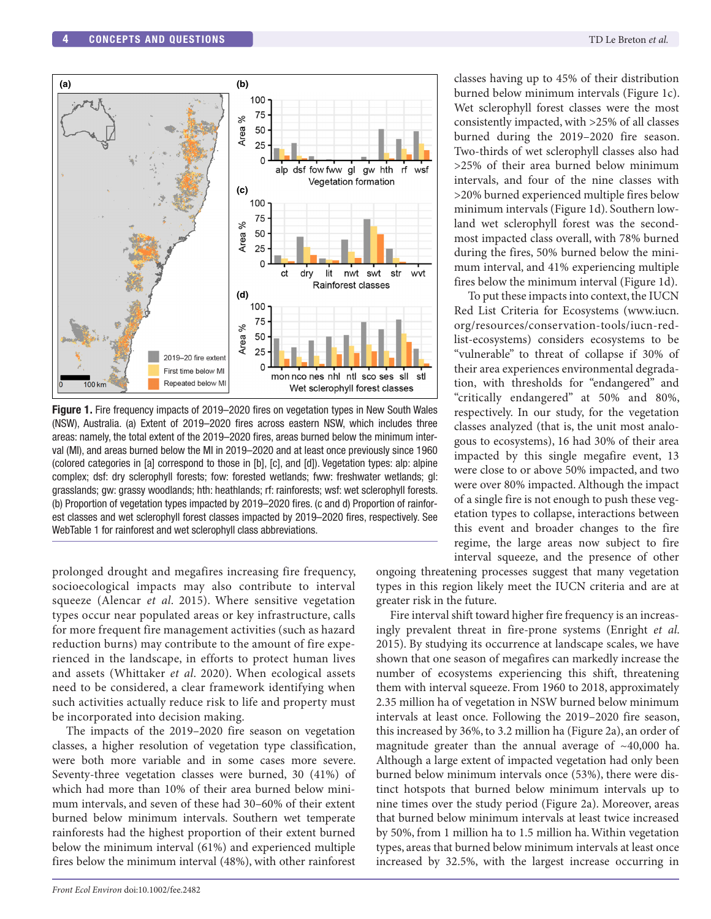

**Figure 1.** Fire frequency impacts of 2019–2020 fires on vegetation types in New South Wales (NSW), Australia. (a) Extent of 2019–2020 fires across eastern NSW, which includes three areas: namely, the total extent of the 2019–2020 fires, areas burned below the minimum interval (MI), and areas burned below the MI in 2019–2020 and at least once previously since 1960 (colored categories in [a] correspond to those in [b], [c], and [d]). Vegetation types: alp: alpine complex; dsf: dry sclerophyll forests; fow: forested wetlands; fww: freshwater wetlands; gl: grasslands; gw: grassy woodlands; hth: heathlands; rf: rainforests; wsf: wet sclerophyll forests. (b) Proportion of vegetation types impacted by 2019–2020 fires. (c and d) Proportion of rainforest classes and wet sclerophyll forest classes impacted by 2019–2020 fires, respectively. See WebTable 1 for rainforest and wet sclerophyll class abbreviations.

prolonged drought and megafires increasing fire frequency, socioecological impacts may also contribute to interval squeeze (Alencar *et al*. 2015). Where sensitive vegetation types occur near populated areas or key infrastructure, calls for more frequent fire management activities (such as hazard reduction burns) may contribute to the amount of fire experienced in the landscape, in efforts to protect human lives and assets (Whittaker *et al*. 2020). When ecological assets need to be considered, a clear framework identifying when such activities actually reduce risk to life and property must be incorporated into decision making.

The impacts of the 2019–2020 fire season on vegetation classes, a higher resolution of vegetation type classification, were both more variable and in some cases more severe. Seventy-three vegetation classes were burned, 30 (41%) of which had more than 10% of their area burned below minimum intervals, and seven of these had 30–60% of their extent burned below minimum intervals. Southern wet temperate rainforests had the highest proportion of their extent burned below the minimum interval (61%) and experienced multiple fires below the minimum interval (48%), with other rainforest

classes having up to 45% of their distribution burned below minimum intervals (Figure 1c). Wet sclerophyll forest classes were the most consistently impacted, with >25% of all classes burned during the 2019–2020 fire season. Two-thirds of wet sclerophyll classes also had >25% of their area burned below minimum intervals, and four of the nine classes with >20% burned experienced multiple fires below minimum intervals (Figure 1d). Southern lowland wet sclerophyll forest was the secondmost impacted class overall, with 78% burned during the fires, 50% burned below the minimum interval, and 41% experiencing multiple fires below the minimum interval (Figure 1d).

To put these impacts into context, the IUCN Red List Criteria for Ecosystems ([www.iucn.](http://www.iucn.org/resources/conservation-tools/iucn-red-list-ecosystems) [org/resources/conservation-tools/iucn-red](http://www.iucn.org/resources/conservation-tools/iucn-red-list-ecosystems)[list-ecosystems](http://www.iucn.org/resources/conservation-tools/iucn-red-list-ecosystems)) considers ecosystems to be "vulnerable" to threat of collapse if 30% of their area experiences environmental degradation, with thresholds for "endangered" and "critically endangered" at 50% and 80%, respectively. In our study, for the vegetation classes analyzed (that is, the unit most analogous to ecosystems), 16 had 30% of their area impacted by this single megafire event, 13 were close to or above 50% impacted, and two were over 80% impacted. Although the impact of a single fire is not enough to push these vegetation types to collapse, interactions between this event and broader changes to the fire regime, the large areas now subject to fire interval squeeze, and the presence of other

ongoing threatening processes suggest that many vegetation types in this region likely meet the IUCN criteria and are at greater risk in the future.

Fire interval shift toward higher fire frequency is an increasingly prevalent threat in fire-prone systems (Enright *et al*. 2015). By studying its occurrence at landscape scales, we have shown that one season of megafires can markedly increase the number of ecosystems experiencing this shift, threatening them with interval squeeze. From 1960 to 2018, approximately 2.35 million ha of vegetation in NSW burned below minimum intervals at least once. Following the 2019–2020 fire season, this increased by 36%, to 3.2 million ha (Figure 2a), an order of magnitude greater than the annual average of ~40,000 ha. Although a large extent of impacted vegetation had only been burned below minimum intervals once (53%), there were distinct hotspots that burned below minimum intervals up to nine times over the study period (Figure 2a). Moreover, areas that burned below minimum intervals at least twice increased by 50%, from 1 million ha to 1.5 million ha. Within vegetation types, areas that burned below minimum intervals at least once increased by 32.5%, with the largest increase occurring in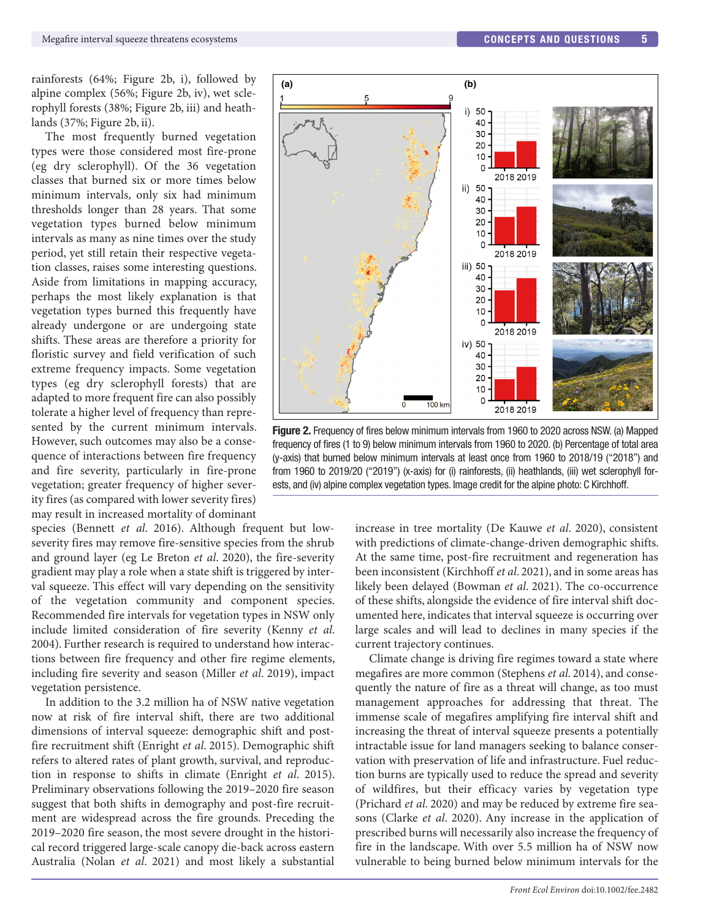rainforests (64%; Figure 2b, i), followed by alpine complex (56%; Figure 2b, iv), wet sclerophyll forests (38%; Figure 2b, iii) and heathlands (37%; Figure 2b, ii).

The most frequently burned vegetation types were those considered most fire-prone (eg dry sclerophyll). Of the 36 vegetation classes that burned six or more times below minimum intervals, only six had minimum thresholds longer than 28 years. That some vegetation types burned below minimum intervals as many as nine times over the study period, yet still retain their respective vegetation classes, raises some interesting questions. Aside from limitations in mapping accuracy, perhaps the most likely explanation is that vegetation types burned this frequently have already undergone or are undergoing state shifts. These areas are therefore a priority for floristic survey and field verification of such extreme frequency impacts. Some vegetation types (eg dry sclerophyll forests) that are adapted to more frequent fire can also possibly tolerate a higher level of frequency than represented by the current minimum intervals. However, such outcomes may also be a consequence of interactions between fire frequency and fire severity, particularly in fire-prone vegetation; greater frequency of higher severity fires (as compared with lower severity fires) may result in increased mortality of dominant

species (Bennett *et al*. 2016). Although frequent but lowseverity fires may remove fire-sensitive species from the shrub and ground layer (eg Le Breton *et al*. 2020), the fire-severity gradient may play a role when a state shift is triggered by interval squeeze. This effect will vary depending on the sensitivity of the vegetation community and component species. Recommended fire intervals for vegetation types in NSW only include limited consideration of fire severity (Kenny *et al*. 2004). Further research is required to understand how interactions between fire frequency and other fire regime elements, including fire severity and season (Miller *et al*. 2019), impact vegetation persistence.

In addition to the 3.2 million ha of NSW native vegetation now at risk of fire interval shift, there are two additional dimensions of interval squeeze: demographic shift and postfire recruitment shift (Enright *et al*. 2015). Demographic shift refers to altered rates of plant growth, survival, and reproduction in response to shifts in climate (Enright *et al*. 2015). Preliminary observations following the 2019–2020 fire season suggest that both shifts in demography and post-fire recruitment are widespread across the fire grounds. Preceding the 2019–2020 fire season, the most severe drought in the historical record triggered large-scale canopy die-back across eastern Australia (Nolan *et al*. 2021) and most likely a substantial



**Figure 2.** Frequency of fires below minimum intervals from 1960 to 2020 across NSW. (a) Mapped frequency of fires (1 to 9) below minimum intervals from 1960 to 2020. (b) Percentage of total area (y-axis) that burned below minimum intervals at least once from 1960 to 2018/19 ("2018") and from 1960 to 2019/20 ("2019") (x-axis) for (i) rainforests, (ii) heathlands, (iii) wet sclerophyll forests, and (iv) alpine complex vegetation types. Image credit for the alpine photo: C Kirchhoff.

increase in tree mortality (De Kauwe *et al*. 2020), consistent with predictions of climate-change-driven demographic shifts. At the same time, post-fire recruitment and regeneration has been inconsistent (Kirchhoff *et al*. 2021), and in some areas has likely been delayed (Bowman *et al*. 2021). The co-occurrence of these shifts, alongside the evidence of fire interval shift documented here, indicates that interval squeeze is occurring over large scales and will lead to declines in many species if the current trajectory continues.

Climate change is driving fire regimes toward a state where megafires are more common (Stephens *et al*. 2014), and consequently the nature of fire as a threat will change, as too must management approaches for addressing that threat. The immense scale of megafires amplifying fire interval shift and increasing the threat of interval squeeze presents a potentially intractable issue for land managers seeking to balance conservation with preservation of life and infrastructure. Fuel reduction burns are typically used to reduce the spread and severity of wildfires, but their efficacy varies by vegetation type (Prichard *et al*. 2020) and may be reduced by extreme fire seasons (Clarke *et al*. 2020). Any increase in the application of prescribed burns will necessarily also increase the frequency of fire in the landscape. With over 5.5 million ha of NSW now vulnerable to being burned below minimum intervals for the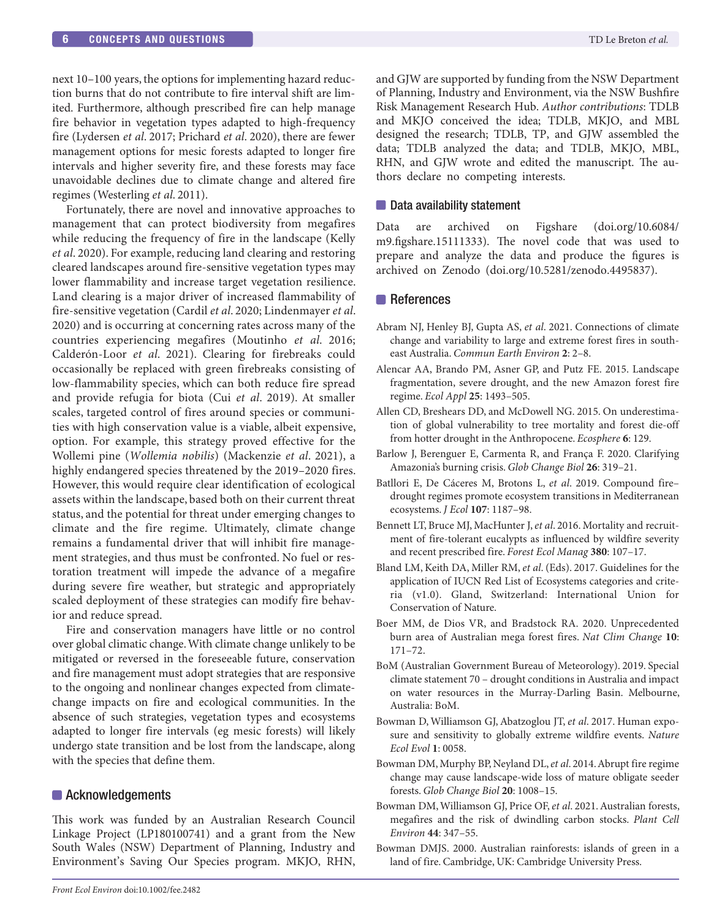next 10–100 years, the options for implementing hazard reduction burns that do not contribute to fire interval shift are limited. Furthermore, although prescribed fire can help manage fire behavior in vegetation types adapted to high-frequency fire (Lydersen *et al*. 2017; Prichard *et al*. 2020), there are fewer management options for mesic forests adapted to longer fire intervals and higher severity fire, and these forests may face unavoidable declines due to climate change and altered fire regimes (Westerling *et al*. 2011).

Fortunately, there are novel and innovative approaches to management that can protect biodiversity from megafires while reducing the frequency of fire in the landscape (Kelly *et al*. 2020). For example, reducing land clearing and restoring cleared landscapes around fire-sensitive vegetation types may lower flammability and increase target vegetation resilience. Land clearing is a major driver of increased flammability of fire-sensitive vegetation (Cardil *et al*. 2020; Lindenmayer *et al*. 2020) and is occurring at concerning rates across many of the countries experiencing megafires (Moutinho *et al*. 2016; Calderón-Loor *et al*. 2021). Clearing for firebreaks could occasionally be replaced with green firebreaks consisting of low-flammability species, which can both reduce fire spread and provide refugia for biota (Cui *et al*. 2019). At smaller scales, targeted control of fires around species or communities with high conservation value is a viable, albeit expensive, option. For example, this strategy proved effective for the Wollemi pine (*Wollemia nobilis*) (Mackenzie *et al*. 2021), a highly endangered species threatened by the 2019–2020 fires. However, this would require clear identification of ecological assets within the landscape, based both on their current threat status, and the potential for threat under emerging changes to climate and the fire regime. Ultimately, climate change remains a fundamental driver that will inhibit fire management strategies, and thus must be confronted. No fuel or restoration treatment will impede the advance of a megafire during severe fire weather, but strategic and appropriately scaled deployment of these strategies can modify fire behavior and reduce spread.

Fire and conservation managers have little or no control over global climatic change. With climate change unlikely to be mitigated or reversed in the foreseeable future, conservation and fire management must adopt strategies that are responsive to the ongoing and nonlinear changes expected from climatechange impacts on fire and ecological communities. In the absence of such strategies, vegetation types and ecosystems adapted to longer fire intervals (eg mesic forests) will likely undergo state transition and be lost from the landscape, along with the species that define them.

### ■ Acknowledgements

This work was funded by an Australian Research Council Linkage Project (LP180100741) and a grant from the New South Wales (NSW) Department of Planning, Industry and Environment's Saving Our Species program. MKJO, RHN, and GJW are supported by funding from the NSW Department of Planning, Industry and Environment, via the NSW Bushfire Risk Management Research Hub. *Author contributions*: TDLB and MKJO conceived the idea; TDLB, MKJO, and MBL designed the research; TDLB, TP, and GJW assembled the data; TDLB analyzed the data; and TDLB, MKJO, MBL, RHN, and GJW wrote and edited the manuscript. The authors declare no competing interests.

#### ■ Data availability statement

Data are archived on Figshare (doi.org/10.6084/ m9.figshare.15111333). The novel code that was used to prepare and analyze the data and produce the figures is archived on Zenodo (doi.org/10.5281/zenodo.4495837).

### **References**

- Abram NJ, Henley BJ, Gupta AS, *et al*. 2021. Connections of climate change and variability to large and extreme forest fires in southeast Australia. *Commun Earth Environ* **2**: 2–8.
- Alencar AA, Brando PM, Asner GP, and Putz FE. 2015. Landscape fragmentation, severe drought, and the new Amazon forest fire regime. *Ecol Appl* **25**: 1493–505.
- Allen CD, Breshears DD, and McDowell NG. 2015. On underestimation of global vulnerability to tree mortality and forest die-off from hotter drought in the Anthropocene. *Ecosphere* **6**: 129.
- Barlow J, Berenguer E, Carmenta R, and França F. 2020. Clarifying Amazonia's burning crisis. *Glob Change Biol* **26**: 319–21.
- Batllori E, De Cáceres M, Brotons L, *et al*. 2019. Compound fire– drought regimes promote ecosystem transitions in Mediterranean ecosystems. *J Ecol* **107**: 1187–98.
- Bennett LT, Bruce MJ, MacHunter J, *et al*. 2016. Mortality and recruitment of fire-tolerant eucalypts as influenced by wildfire severity and recent prescribed fire. *Forest Ecol Manag* **380**: 107–17.
- Bland LM, Keith DA, Miller RM, *et al*. (Eds). 2017. Guidelines for the application of IUCN Red List of Ecosystems categories and criteria (v1.0). Gland, Switzerland: International Union for Conservation of Nature.
- Boer MM, de Dios VR, and Bradstock RA. 2020. Unprecedented burn area of Australian mega forest fires. *Nat Clim Change* **10**: 171–72.
- BoM (Australian Government Bureau of Meteorology). 2019. Special climate statement 70 – drought conditions in Australia and impact on water resources in the Murray-Darling Basin. Melbourne, Australia: BoM.
- Bowman D, Williamson GJ, Abatzoglou JT, *et al*. 2017. Human exposure and sensitivity to globally extreme wildfire events. *Nature Ecol Evol* **1**: 0058.
- Bowman DM, Murphy BP, Neyland DL, *et al*. 2014. Abrupt fire regime change may cause landscape-wide loss of mature obligate seeder forests. *Glob Change Biol* **20**: 1008–15.
- Bowman DM, Williamson GJ, Price OF, *et al*. 2021. Australian forests, megafires and the risk of dwindling carbon stocks. *Plant Cell Environ* **44**: 347–55.
- Bowman DMJS. 2000. Australian rainforests: islands of green in a land of fire. Cambridge, UK: Cambridge University Press.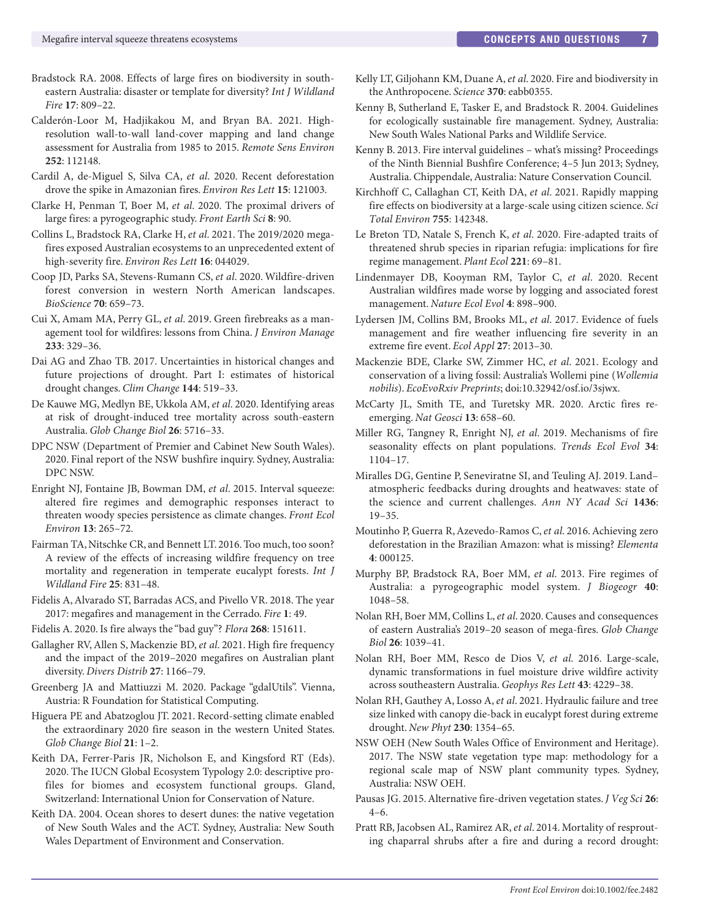- Bradstock RA. 2008. Effects of large fires on biodiversity in southeastern Australia: disaster or template for diversity? *Int J Wildland Fire* **17**: 809–22.
- Calderón-Loor M, Hadjikakou M, and Bryan BA. 2021. Highresolution wall-to-wall land-cover mapping and land change assessment for Australia from 1985 to 2015. *Remote Sens Environ* **252**: 112148.
- Cardil A, de-Miguel S, Silva CA, *et al*. 2020. Recent deforestation drove the spike in Amazonian fires. *Environ Res Lett* **15**: 121003.
- Clarke H, Penman T, Boer M, *et al*. 2020. The proximal drivers of large fires: a pyrogeographic study. *Front Earth Sci* **8**: 90.
- Collins L, Bradstock RA, Clarke H, *et al*. 2021. The 2019/2020 megafires exposed Australian ecosystems to an unprecedented extent of high-severity fire. *Environ Res Lett* **16**: 044029.
- Coop JD, Parks SA, Stevens-Rumann CS, *et al*. 2020. Wildfire-driven forest conversion in western North American landscapes. *BioScience* **70**: 659–73.
- Cui X, Amam MA, Perry GL, *et al*. 2019. Green firebreaks as a management tool for wildfires: lessons from China. *J Environ Manage* **233**: 329–36.
- Dai AG and Zhao TB. 2017. Uncertainties in historical changes and future projections of drought. Part I: estimates of historical drought changes. *Clim Change* **144**: 519–33.
- De Kauwe MG, Medlyn BE, Ukkola AM, *et al*. 2020. Identifying areas at risk of drought-induced tree mortality across south-eastern Australia. *Glob Change Biol* **26**: 5716–33.
- DPC NSW (Department of Premier and Cabinet New South Wales). 2020. Final report of the NSW bushfire inquiry. Sydney, Australia: DPC NSW.
- Enright NJ, Fontaine JB, Bowman DM, *et al*. 2015. Interval squeeze: altered fire regimes and demographic responses interact to threaten woody species persistence as climate changes. *Front Ecol Environ* **13**: 265–72.
- Fairman TA, Nitschke CR, and Bennett LT. 2016. Too much, too soon? A review of the effects of increasing wildfire frequency on tree mortality and regeneration in temperate eucalypt forests. *Int J Wildland Fire* **25**: 831–48.
- Fidelis A, Alvarado ST, Barradas ACS, and Pivello VR. 2018. The year 2017: megafires and management in the Cerrado. *Fire* **1**: 49.
- Fidelis A. 2020. Is fire always the "bad guy"? *Flora* **268**: 151611.
- Gallagher RV, Allen S, Mackenzie BD, *et al*. 2021. High fire frequency and the impact of the 2019–2020 megafires on Australian plant diversity. *Divers Distrib* **27**: 1166–79.
- Greenberg JA and Mattiuzzi M. 2020. Package "gdalUtils". Vienna, Austria: R Foundation for Statistical Computing.
- Higuera PE and Abatzoglou JT. 2021. Record-setting climate enabled the extraordinary 2020 fire season in the western United States. *Glob Change Biol* **21**: 1–2.
- Keith DA, Ferrer-Paris JR, Nicholson E, and Kingsford RT (Eds). 2020. The IUCN Global Ecosystem Typology 2.0: descriptive profiles for biomes and ecosystem functional groups. Gland, Switzerland: International Union for Conservation of Nature.
- Keith DA. 2004. Ocean shores to desert dunes: the native vegetation of New South Wales and the ACT. Sydney, Australia: New South Wales Department of Environment and Conservation.
- Kelly LT, Giljohann KM, Duane A, *et al*. 2020. Fire and biodiversity in the Anthropocene. *Science* **370**: eabb0355.
- Kenny B, Sutherland E, Tasker E, and Bradstock R. 2004. Guidelines for ecologically sustainable fire management. Sydney, Australia: New South Wales National Parks and Wildlife Service.
- Kenny B. 2013. Fire interval guidelines what's missing? Proceedings of the Ninth Biennial Bushfire Conference; 4–5 Jun 2013; Sydney, Australia. Chippendale, Australia: Nature Conservation Council.
- Kirchhoff C, Callaghan CT, Keith DA, *et al*. 2021. Rapidly mapping fire effects on biodiversity at a large-scale using citizen science. *Sci Total Environ* **755**: 142348.
- Le Breton TD, Natale S, French K, *et al*. 2020. Fire-adapted traits of threatened shrub species in riparian refugia: implications for fire regime management. *Plant Ecol* **221**: 69–81.
- Lindenmayer DB, Kooyman RM, Taylor C, *et al*. 2020. Recent Australian wildfires made worse by logging and associated forest management. *Nature Ecol Evol* **4**: 898–900.
- Lydersen JM, Collins BM, Brooks ML, *et al*. 2017. Evidence of fuels management and fire weather influencing fire severity in an extreme fire event. *Ecol Appl* **27**: 2013–30.
- Mackenzie BDE, Clarke SW, Zimmer HC, *et al*. 2021. Ecology and conservation of a living fossil: Australia's Wollemi pine (*Wollemia nobilis*). *EcoEvoRxiv Preprints*; [doi:10.32942/osf.io/3sjwx.](https://doi.org/10.32942/osf.io/3sjwx)
- McCarty JL, Smith TE, and Turetsky MR. 2020. Arctic fires reemerging. *Nat Geosci* **13**: 658–60.
- Miller RG, Tangney R, Enright NJ, *et al*. 2019. Mechanisms of fire seasonality effects on plant populations. *Trends Ecol Evol* **34**: 1104–17.
- Miralles DG, Gentine P, Seneviratne SI, and Teuling AJ. 2019. Land– atmospheric feedbacks during droughts and heatwaves: state of the science and current challenges. *Ann NY Acad Sci* **1436**: 19–35.
- Moutinho P, Guerra R, Azevedo-Ramos C, *et al*. 2016. Achieving zero deforestation in the Brazilian Amazon: what is missing? *Elementa* **4**: 000125.
- Murphy BP, Bradstock RA, Boer MM, *et al*. 2013. Fire regimes of Australia: a pyrogeographic model system. *J Biogeogr* **40**: 1048–58.
- Nolan RH, Boer MM, Collins L, *et al*. 2020. Causes and consequences of eastern Australia's 2019–20 season of mega-fires. *Glob Change Biol* **26**: 1039–41.
- Nolan RH, Boer MM, Resco de Dios V, *et al*. 2016. Large-scale, dynamic transformations in fuel moisture drive wildfire activity across southeastern Australia. *Geophys Res Lett* **43**: 4229–38.
- Nolan RH, Gauthey A, Losso A, *et al*. 2021. Hydraulic failure and tree size linked with canopy die-back in eucalypt forest during extreme drought. *New Phyt* **230**: 1354–65.
- NSW OEH (New South Wales Office of Environment and Heritage). 2017. The NSW state vegetation type map: methodology for a regional scale map of NSW plant community types. Sydney, Australia: NSW OEH.
- Pausas JG. 2015. Alternative fire-driven vegetation states. *J Veg Sci* **26**: 4–6.
- Pratt RB, Jacobsen AL, Ramirez AR, *et al*. 2014. Mortality of resprouting chaparral shrubs after a fire and during a record drought: